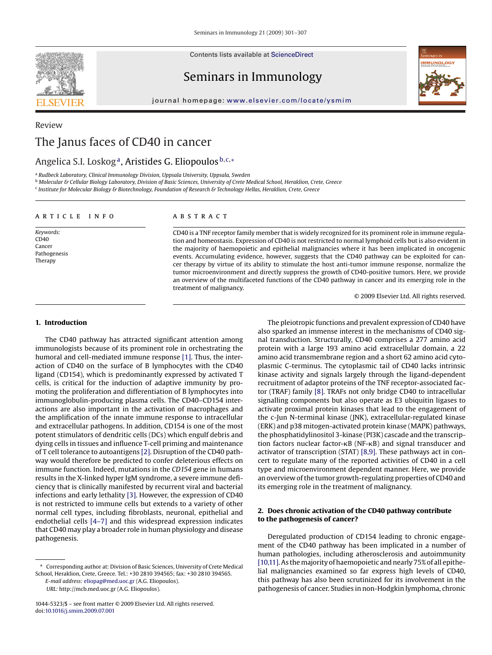Contents lists available at [ScienceDirect](http://www.sciencedirect.com/science/journal/10445323)



Seminars in Immunology



journal homepage: [www.elsevier.com/locate/ysmim](http://www.elsevier.com/locate/ysmim)

# Review The Janus faces of CD40 in cancer

# Angelica S.I. Loskog<sup>a</sup>, Aristides G. Eliopoulos<sup>b,c,∗</sup>

<sup>a</sup> *Rudbeck Laboratory, Clinical Immunology Division, Uppsala University, Uppsala, Sweden*

<sup>b</sup> *Molecular & Cellular Biology Laboratory, Division of Basic Sciences, University of Crete Medical School, Heraklion, Crete, Greece*

<sup>c</sup> *Institute for Molecular Biology & Biotechnology, Foundation of Research & Technology Hellas, Heraklion, Crete, Greece*

# article info

*Keywords:*  $CD40$ Cancer Pathogenesis Therapy

# abstract

CD40 is a TNF receptor family member that is widely recognized for its prominent role in immune regulation and homeostasis. Expression of CD40 is not restricted to normal lymphoid cells but is also evident in the majority of haemopoietic and epithelial malignancies where it has been implicated in oncogenic events. Accumulating evidence, however, suggests that the CD40 pathway can be exploited for cancer therapy by virtue of its ability to stimulate the host anti-tumor immune response, normalize the tumor microenvironment and directly suppress the growth of CD40-positive tumors. Here, we provide an overview of the multifaceted functions of the CD40 pathway in cancer and its emerging role in the treatment of malignancy.

© 2009 Elsevier Ltd. All rights reserved.

#### **1. Introduction**

The CD40 pathway has attracted significant attention among immunologists because of its prominent role in orchestrating the humoral and cell-mediated immune response [\[1\]. T](#page-4-0)hus, the interaction of CD40 on the surface of B lymphocytes with the CD40 ligand (CD154), which is predominantly expressed by activated T cells, is critical for the induction of adaptive immunity by promoting the proliferation and differentiation of B lymphocytes into immunoglobulin-producing plasma cells. The CD40–CD154 interactions are also important in the activation of macrophages and the amplification of the innate immune response to intracellular and extracellular pathogens. In addition, CD154 is one of the most potent stimulators of dendritic cells (DCs) which engulf debris and dying cells in tissues and influence T-cell priming and maintenance of T cell tolerance to autoantigens [\[2\]. D](#page-4-0)isruption of the CD40 pathway would therefore be predicted to confer deleterious effects on immune function. Indeed, mutations in the *CD154* gene in humans results in the X-linked hyper IgM syndrome, a severe immune deficiency that is clinically manifested by recurrent viral and bacterial infections and early lethality [\[3\]. H](#page-4-0)owever, the expression of CD40 is not restricted to immune cells but extends to a variety of other normal cell types, including fibroblasts, neuronal, epithelial and endothelial cells [\[4–7\]](#page-4-0) and this widespread expression indicates that CD40 may play a broader role in human physiology and disease pathogenesis.

The pleiotropic functions and prevalent expression of CD40 have also sparked an immense interest in the mechanisms of CD40 signal transduction. Structurally, CD40 comprises a 277 amino acid protein with a large 193 amino acid extracellular domain, a 22 amino acid transmembrane region and a short 62 amino acid cytoplasmic C-terminus. The cytoplasmic tail of CD40 lacks intrinsic kinase activity and signals largely through the ligand-dependent recruitment of adaptor proteins of the TNF receptor-associated factor (TRAF) family [\[8\]. T](#page-4-0)RAFs not only bridge CD40 to intracellular signalling components but also operate as E3 ubiquitin ligases to activate proximal protein kinases that lead to the engagement of the c-Jun N-terminal kinase (JNK), extracellular-regulated kinase (ERK) and p38 mitogen-activated protein kinase (MAPK) pathways, the phosphatidylinositol 3-kinase (PI3K) cascade and the transcription factors nuclear factor- $\kappa$ B (NF- $\kappa$ B) and signal transducer and activator of transcription (STAT) [\[8,9\]. T](#page-4-0)hese pathways act in concert to regulate many of the reported activities of CD40 in a cell type and microenvironment dependent manner. Here, we provide an overview of the tumor growth-regulating properties of CD40 and its emerging role in the treatment of malignancy.

# **2. Does chronic activation of the CD40 pathway contribute to the pathogenesis of cancer?**

Deregulated production of CD154 leading to chronic engagement of the CD40 pathway has been implicated in a number of human pathologies, including atherosclerosis and autoimmunity [\[10,11\]. A](#page-4-0)s the majority of haemopoietic and nearly 75% of all epithelial malignancies examined so far express high levels of CD40, this pathway has also been scrutinized for its involvement in the pathogenesis of cancer. Studies in non-Hodgkin lymphoma, chronic

<sup>∗</sup> Corresponding author at: Division of Basic Sciences, University of Crete Medical School, Heraklion, Crete, Greece. Tel.: +30 2810 394565; fax: +30 2810 394565.

*E-mail address:* [eliopag@med.uoc.gr](mailto:eliopag@med.uoc.gr) (A.G. Eliopoulos).

*URL:* http://mcb.med.uoc.gr (A.G. Eliopoulos).

<sup>1044-5323/\$ –</sup> see front matter © 2009 Elsevier Ltd. All rights reserved. doi:[10.1016/j.smim.2009.07.001](dx.doi.org/10.1016/j.smim.2009.07.001)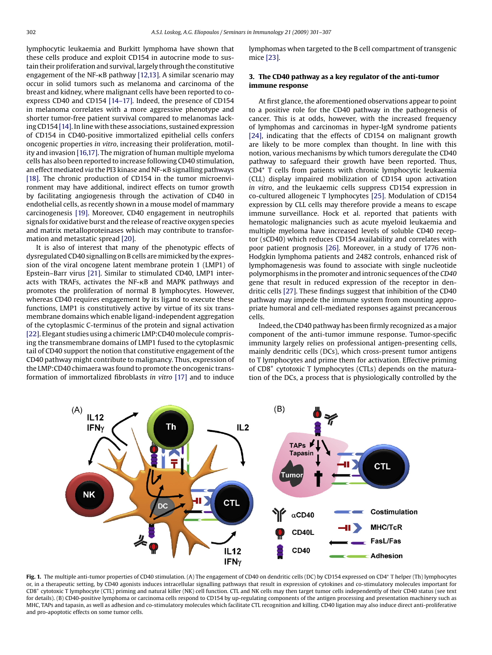<span id="page-1-0"></span>lymphocytic leukaemia and Burkitt lymphoma have shown that these cells produce and exploit CD154 in autocrine mode to sustain their proliferation and survival, largely through the constitutive engagement of the NF--B pathway [\[12,13\]. A](#page-4-0) similar scenario may occur in solid tumors such as melanoma and carcinoma of the breast and kidney, where malignant cells have been reported to coexpress CD40 and CD154 [\[14–17\].](#page-4-0) Indeed, the presence of CD154 in melanoma correlates with a more aggressive phenotype and shorter tumor-free patient survival compared to melanomas lacking CD154 [\[14\]. I](#page-4-0)n line with these associations, sustained expression of CD154 in CD40-positive immortalized epithelial cells confers oncogenic properties *in vitro*, increasing their proliferation, motility and invasion [\[16,17\]. T](#page-4-0)he migration of human multiple myeloma cells has also been reported to increase following CD40 stimulation, an effect mediated *via* the PI3 kinase and NF--B signalling pathways [\[18\].](#page-4-0) The chronic production of CD154 in the tumor microenvironment may have additional, indirect effects on tumor growth by facilitating angiogenesis through the activation of CD40 in endothelial cells, as recently shown in a mouse model of mammary carcinogenesis [\[19\].](#page-4-0) Moreover, CD40 engagement in neutrophils signals for oxidative burst and the release of reactive oxygen species and matrix metalloproteinases which may contribute to transformation and metastatic spread [\[20\].](#page-4-0)

It is also of interest that many of the phenotypic effects of dysregulated CD40 signalling on B cells are mimicked by the expression of the viral oncogene latent membrane protein 1 (LMP1) of Epstein–Barr virus [\[21\]. S](#page-4-0)imilar to stimulated CD40, LMP1 interacts with TRAFs, activates the NF--B and MAPK pathways and promotes the proliferation of normal B lymphocytes. However, whereas CD40 requires engagement by its ligand to execute these functions, LMP1 is constitutively active by virtue of its six transmembrane domains which enable ligand-independent aggregation of the cytoplasmic C-terminus of the protein and signal activation [\[22\]. E](#page-4-0)legant studies using a chimeric LMP:CD40 molecule comprising the transmembrane domains of LMP1 fused to the cytoplasmic tail of CD40 support the notion that constitutive engagement of the CD40 pathway might contribute to malignancy. Thus, expression of the LMP:CD40 chimaera was found to promote the oncogenic transformation of immortalized fibroblasts *in vitro* [\[17\]](#page-4-0) and to induce

lymphomas when targeted to the B cell compartment of transgenic mice [\[23\].](#page-4-0)

# **3. The CD40 pathway as a key regulator of the anti-tumor immune response**

At first glance, the aforementioned observations appear to point to a positive role for the CD40 pathway in the pathogenesis of cancer. This is at odds, however, with the increased frequency of lymphomas and carcinomas in hyper-IgM syndrome patients [\[24\],](#page-4-0) indicating that the effects of CD154 on malignant growth are likely to be more complex than thought. In line with this notion, various mechanisms by which tumors deregulate the CD40 pathway to safeguard their growth have been reported. Thus, CD4<sup>+</sup> T cells from patients with chronic lymphocytic leukaemia (CLL) display impaired mobilization of CD154 upon activation *in vitro*, and the leukaemic cells suppress CD154 expression in co-cultured allogeneic T lymphocytes [\[25\].](#page-4-0) Modulation of CD154 expression by CLL cells may therefore provide a means to escape immune surveillance. Hock et al. reported that patients with hematologic malignancies such as acute myeloid leukaemia and multiple myeloma have increased levels of soluble CD40 receptor (sCD40) which reduces CD154 availability and correlates with poor patient prognosis [\[26\].](#page-4-0) Moreover, in a study of 1776 non-Hodgkin lymphoma patients and 2482 controls, enhanced risk of lymphomagenesis was found to associate with single nucleotide polymorphisms in the promoter and intronic sequences of the *CD40* gene that result in reduced expression of the receptor in dendritic cells [\[27\]. T](#page-5-0)hese findings suggest that inhibition of the CD40 pathway may impede the immune system from mounting appropriate humoral and cell-mediated responses against precancerous cells.

Indeed, the CD40 pathway has been firmly recognized as a major component of the anti-tumor immune response. Tumor-specific immunity largely relies on professional antigen-presenting cells, mainly dendritic cells (DCs), which cross-present tumor antigens to T lymphocytes and prime them for activation. Effective priming of CD8+ cytotoxic T lymphocytes (CTLs) depends on the maturation of the DCs, a process that is physiologically controlled by the



**Fig. 1.** The multiple anti-tumor properties of CD40 stimulation. (A) The engagement of CD40 on dendritic cells (DC) by CD154 expressed on CD4+ T helper (Th) lymphocytes or, in a therapeutic setting, by CD40 agonists induces intracellular signalling pathways that result in expression of cytokines and co-stimulatory molecules important for CD8<sup>+</sup> cytotoxic T lymphocyte (CTL) priming and natural killer (NK) cell function. CTL and NK cells may then target tumor cells independently of their CD40 status (see text for details). (B) CD40-positive lymphoma or carcinoma cells respond to CD154 by up-regulating components of the antigen processing and presentation machinery such as MHC, TAPs and tapasin, as well as adhesion and co-stimulatory molecules which facilitate CTL recognition and killing. CD40 ligation may also induce direct anti-proliferative and pro-apoptotic effects on some tumor cells.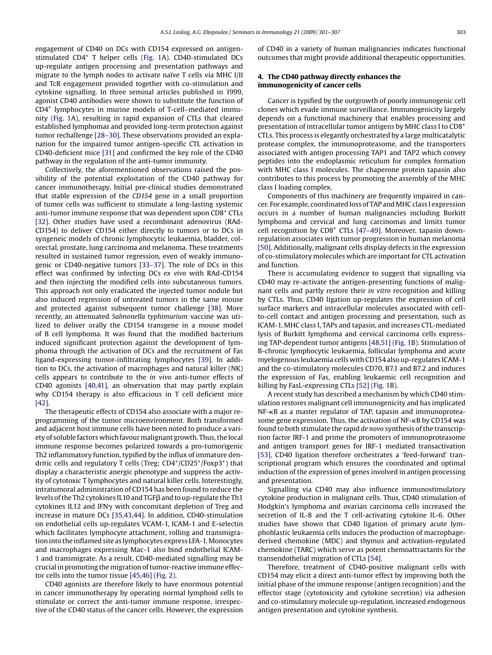engagement of CD40 on DCs with CD154 expressed on antigenstimulated CD4+ T helper cells ([Fig. 1A](#page-1-0)). CD40-stimulated DCs up-regulate antigen processing and presentation pathways and migrate to the lymph nodes to activate naïve T cells via MHC I/II and TcR engagement provided together with co-stimulation and cytokine signalling. In three seminal articles published in 1999, agonist CD40 antibodies were shown to substitute the function of CD4+ lymphocytes in murine models of T-cell–mediated immunity ([Fig. 1A](#page-1-0)), resulting in rapid expansion of CTLs that cleared established lymphomas and provided long-term protection against tumor rechallenge [\[28–30\]. T](#page-5-0)hese observations provided an explanation for the impaired tumor antigen-specific CTL activation in CD40-deficient mice [\[31\]](#page-5-0) and confirmed the key role of the CD40 pathway in the regulation of the anti-tumor immunity.

Collectively, the aforementioned observations raised the possibility of the potential exploitation of the CD40 pathway for cancer immunotherapy. Initial pre-clinical studies demonstrated that stable expression of the *CD154* gene in a small proportion of tumor cells was sufficient to stimulate a long-lasting systemic anti-tumor immune response that was dependent upon CD8<sup>+</sup> CTLs [\[32\].](#page-5-0) Other studies have used a recombinant adenovirus (RAd-CD154) to deliver CD154 either directly to tumors or to DCs in syngeneic models of chronic lymphocytic leukaemia, bladder, colorectal, prostate, lung carcinoma and melanoma. These treatments resulted in sustained tumor regression, even of weakly immunogenic or CD40-negative tumors [\[33–37\].](#page-5-0) The role of DCs in this effect was confirmed by infecting DCs *ex vivo* with RAd-CD154 and then injecting the modified cells into subcutaneous tumors. This approach not only eradicated the injected tumor nodule but also induced regression of untreated tumors in the same mouse and protected against subsequent tumor challenge [\[38\].](#page-5-0) More recently, an attenuated *Salmonella typhimurium* vaccine was utilized to deliver orally the CD154 transgene in a mouse model of B cell lymphoma. It was found that the modified bacterium induced significant protection against the development of lymphoma through the activation of DCs and the recruitment of Fas ligand-expressing tumor-infiltrating lymphocytes [\[39\].](#page-5-0) In addition to DCs, the activation of macrophages and natural killer (NK) cells appears to contribute to the *in vivo* anti-tumor effects of CD40 agonists [\[40,41\],](#page-5-0) an observation that may partly explain why CD154 therapy is also efficacious in T cell deficient mice [\[42\].](#page-5-0)

The therapeutic effects of CD154 also associate with a major reprogramming of the tumor microenvironment. Both transformed and adjacent host immune cells have been noted to produce a variety of soluble factors which favour malignant growth. Thus, the local immune response becomes polarized towards a pro-tumorigenic Th2 inflammatory function, typified by the influx of immature dendritic cells and regulatory T cells (Treg; CD4<sup>+</sup>/CD25<sup>+</sup>/Foxp3<sup>+</sup>) that display a characteristic anergic phenotype and suppress the activity of cytotoxic T lymphocytes and natural killer cells. Interestingly, intratumoral administration of CD154 has been found to reduce the levels of the Th2 cytokines IL10 and TGFß and to up-regulate the Th1 cytokines IL12 and IFN $\gamma$  with concomitant depletion of Treg and increase in mature DCs [\[35,43,44\].](#page-5-0) In addition, CD40-stimulation on endothelial cells up-regulates VCAM-1, ICAM-1 and E-selectin which facilitates lymphocyte attachment, rolling and transmigration into the inflamed site as lymphocytes express LFA-1. Monocytes and macrophages expressing Mac-1 also bind endothelial ICAM-1 and transmigrate. As a result, CD40-mediated signalling may be crucial in promoting the migration of tumor-reactive immune effector cells into the tumor tissue [\[45,46\]](#page-5-0) [\(Fig. 2\).](#page-3-0)

CD40 agonists are therefore likely to have enormous potential in cancer immunotherapy by operating normal lymphoid cells to stimulate or correct the anti-tumor immune response, irrespective of the CD40 status of the cancer cells. However, the expression of CD40 in a variety of human malignancies indicates functional outcomes that might provide additional therapeutic opportunities.

# **4. The CD40 pathway directly enhances the immunogenicity of cancer cells**

Cancer is typified by the outgrowth of poorly immunogenic cell clones which evade immune surveillance. Immunogenicity largely depends on a functional machinery that enables processing and presentation of intracellular tumor antigens by MHC class I to CD8+ CTLs. This process is elegantly orchestrated by a large multicatalytic protease complex, the immunoproteasome, and the transporters associated with antigen processing TAP1 and TAP2 which convey peptides into the endoplasmic reticulum for complex formation with MHC class I molecules. The chaperone protein tapasin also contributes to this process by promoting the assembly of the MHC class I loading complex.

Components of this machinery are frequently impaired in cancer. For example, coordinated loss of TAP and MHC class I expression occurs in a number of human malignancies including Burkitt lymphoma and cervical and lung carcinomas and limits tumor cell recognition by CD8<sup>+</sup> CTLs [47-49]. Moreover, tapasin downregulation associates with tumor progression in human melanoma [\[50\]. A](#page-5-0)dditionally, malignant cells display defects in the expression of co-stimulatory molecules which are important for CTL activation and function.

There is accumulating evidence to suggest that signalling via CD40 may re-activate the antigen-presenting functions of malignant cells and partly restore their *in vitro* recognition and killing by CTLs. Thus, CD40 ligation up-regulates the expression of cell surface markers and intracellular molecules associated with cellto-cell contact and antigen processing and presentation, such as ICAM-1, MHC class I, TAPs and tapasin, and increases CTL-mediated lysis of Burkitt lymphoma and cervical carcinoma cells expressing TAP-dependent tumor antigens [\[48,51\]](#page-5-0) [\(Fig. 1B](#page-1-0)). Stimulation of B-chronic lymphocytic leukaemia, follicular lymphoma and acute myelogenous leukaemia cells with CD154 also up-regulates ICAM-1 and the co-stimulatory molecules CD70, B7.1 and B7.2 and induces the expression of Fas, enabling leukaemic cell recognition and killing by FasL-expressing CTLs [\[52\]](#page-5-0) [\(Fig. 1B](#page-1-0)).

A recent study has described a mechanism by which CD40 stimulation restores malignant cell immunogenicity and has implicated NF-<sub>KB</sub> as a master regulator of TAP, tapasin and immunoproteasome gene expression. Thus, the activation of NF--B by CD154 was found to both stimulate the rapid *de novo* synthesis of the transcription factor IRF-1 and prime the promoters of immunoproteasome and antigen transport genes for IRF-1 mediated transactivation [\[53\].](#page-5-0) CD40 ligation therefore orchestrates a 'feed-forward' transcriptional program which ensures the coordinated and optimal induction of the expression of genes involved in antigen processing and presentation.

Signalling via CD40 may also influence immunostimulatory cytokine production in malignant cells. Thus, CD40 stimulation of Hodgkin's lymphoma and ovarian carcinoma cells increased the secretion of IL-8 and the T cell-activating cytokine IL-6. Other studies have shown that CD40 ligation of primary acute lymphoblastic leukaemia cells induces the production of macrophagederived chemokine (MDC) and thymus and activation-regulated chemokine (TARC) which serve as potent chemoattractants for the transendothelial migration of CTLs [\[54\].](#page-5-0)

Therefore, treatment of CD40-positive malignant cells with CD154 may elicit a direct anti-tumor effect by improving both the initial phase of the immune response (antigen recognition) and the effector stage (cytotoxicity and cytokine secretion) via adhesion and co-stimulatory molecule up-regulation, increased endogenous antigen presentation and cytokine synthesis.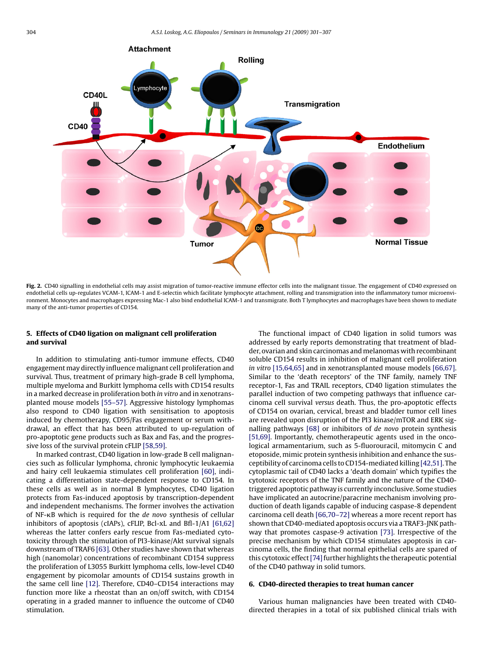<span id="page-3-0"></span>

Fig. 2. CD40 signalling in endothelial cells may assist migration of tumor-reactive immune effector cells into the malignant tissue. The engagement of CD40 expressed on endothelial cells up-regulates VCAM-1, ICAM-1 and E-selectin which facilitate lymphocyte attachment, rolling and transmigration into the inflammatory tumor microenvironment. Monocytes and macrophages expressing Mac-1 also bind endothelial ICAM-1 and transmigrate. Both T lymphocytes and macrophages have been shown to mediate many of the anti-tumor properties of CD154.

## **5. Effects of CD40 ligation on malignant cell proliferation and survival**

In addition to stimulating anti-tumor immune effects, CD40 engagement may directly influence malignant cell proliferation and survival. Thus, treatment of primary high-grade B cell lymphoma, multiple myeloma and Burkitt lymphoma cells with CD154 results in a marked decrease in proliferation both *in vitro* and in xenotransplanted mouse models [\[55–57\].](#page-5-0) Aggressive histology lymphomas also respond to CD40 ligation with sensitisation to apoptosis induced by chemotherapy, CD95/Fas engagement or serum withdrawal, an effect that has been attributed to up-regulation of pro-apoptotic gene products such as Bax and Fas, and the progressive loss of the survival protein cFLIP [\[58,59\].](#page-5-0)

In marked contrast, CD40 ligation in low-grade B cell malignancies such as follicular lymphoma, chronic lymphocytic leukaemia and hairy cell leukaemia stimulates cell proliferation [\[60\],](#page-5-0) indicating a differentiation state-dependent response to CD154. In these cells as well as in normal B lymphocytes, CD40 ligation protects from Fas-induced apoptosis by transcription-dependent and independent mechanisms. The former involves the activation of NF--B which is required for the *de novo* synthesis of cellular inhibitors of apoptosis (cIAPs), cFLIP, Bcl-xL and Bfl-1/A1 [\[61,62\]](#page-5-0) whereas the latter confers early rescue from Fas-mediated cytotoxicity through the stimulation of PI3-kinase/Akt survival signals downstream of TRAF6 [\[63\]. O](#page-5-0)ther studies have shown that whereas high (nanomolar) concentrations of recombinant CD154 suppress the proliferation of L3055 Burkitt lymphoma cells, low-level CD40 engagement by picomolar amounts of CD154 sustains growth in the same cell line [\[12\]. T](#page-4-0)herefore, CD40–CD154 interactions may function more like a rheostat than an on/off switch, with CD154 operating in a graded manner to influence the outcome of CD40 stimulation.

The functional impact of CD40 ligation in solid tumors was addressed by early reports demonstrating that treatment of bladder, ovarian and skin carcinomas and melanomas with recombinant soluble CD154 results in inhibition of malignant cell proliferation *in vitro* [\[15,64,65\]](#page-4-0) and in xenotransplanted mouse models [\[66,67\].](#page-5-0) Similar to the 'death receptors' of the TNF family, namely TNF receptor-1, Fas and TRAIL receptors, CD40 ligation stimulates the parallel induction of two competing pathways that influence carcinoma cell survival *versus* death. Thus, the pro-apoptotic effects of CD154 on ovarian, cervical, breast and bladder tumor cell lines are revealed upon disruption of the PI3 kinase/mTOR and ERK signalling pathways [\[68\]](#page-5-0) or inhibitors of *de novo* protein synthesis [\[51,69\].](#page-5-0) Importantly, chemotherapeutic agents used in the oncological armamentarium, such as 5-fluorouracil, mitomycin C and etoposide, mimic protein synthesis inhibition and enhance the susceptibility of carcinoma cells to CD154-mediated killing [\[42,51\]. T](#page-5-0)he cytoplasmic tail of CD40 lacks a 'death domain' which typifies the cytotoxic receptors of the TNF family and the nature of the CD40 triggered apoptotic pathway is currently inconclusive. Some studies have implicated an autocrine/paracrine mechanism involving production of death ligands capable of inducing caspase-8 dependent carcinoma cell death [\[66,70–72\]](#page-5-0) whereas a more recent report has shown that CD40-mediated apoptosis occurs via a TRAF3-JNK pathway that promotes caspase-9 activation [\[73\].](#page-5-0) Irrespective of the precise mechanism by which CD154 stimulates apoptosis in carcinoma cells, the finding that normal epithelial cells are spared of this cytotoxic effect [74] further highlights the therapeutic potential of the CD40 pathway in solid tumors.

### **6. CD40-directed therapies to treat human cancer**

Various human malignancies have been treated with CD40 directed therapies in a total of six published clinical trials with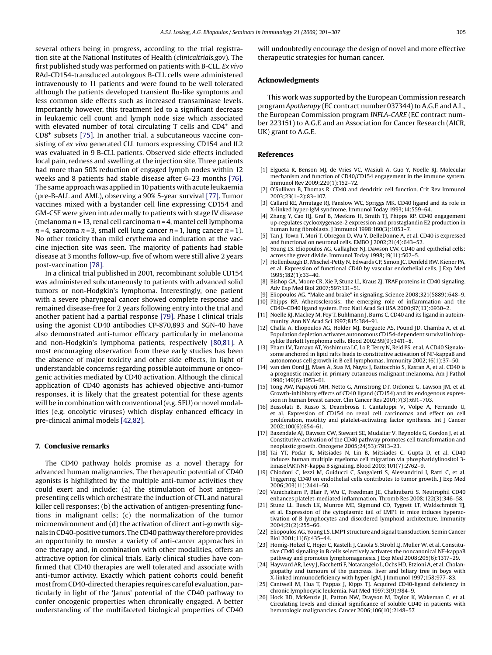<span id="page-4-0"></span>several others being in progress, according to the trial registration site at the National Institutes of Health (*clinicaltrials.gov*). The first published study was performed on patients with B-CLL. *Ex vivo* RAd-CD154-transduced autologous B-CLL cells were administered intravenously to 11 patients and were found to be well tolerated although the patients developed transient flu-like symptoms and less common side effects such as increased transaminase levels. Importantly however, this treatment led to a significant decrease in leukaemic cell count and lymph node size which associated with elevated number of total circulating T cells and CD4<sup>+</sup> and CD8+ subsets [\[75\]. I](#page-5-0)n another trial, a subcutaneous vaccine consisting of *ex vivo* generated CLL tumors expressing CD154 and IL2 was evaluated in 9 B-CLL patients. Observed side effects included local pain, redness and swelling at the injection site. Three patients had more than 50% reduction of engaged lymph nodes within 12 weeks and 8 patients had stable disease after 6–23 months [\[76\].](#page-5-0) The same approach was applied in 10 patients with acute leukaemia (pre-B-ALL and AML), observing a 90% 5-year survival [\[77\]. T](#page-5-0)umor vaccines mixed with a bystander cell line expressing CD154 and GM-CSF were given intradermally to patients with stage IV disease (melanoma *n* = 13, renal cell carcinoma *n* = 4, mantel cell lymphoma  $n = 4$ , sarcoma  $n = 3$ , small cell lung cancer  $n = 1$ , lung cancer  $n = 1$ ). No other toxicity than mild erythema and induration at the vaccine injection site was seen. The majority of patients had stable disease at 3 months follow-up, five of whom were still alive 2 years post-vaccination [\[78\].](#page-5-0)

In a clinical trial published in 2001, recombinant soluble CD154 was administered subcutaneously to patients with advanced solid tumors or non-Hodgkin's lymphoma. Interestingly, one patient with a severe pharyngeal cancer showed complete response and remained disease-free for 2 years following entry into the trial and another patient had a partial response [\[79\]. P](#page-6-0)hase I clinical trials using the agonist CD40 antibodies CP-870,893 and SGN-40 have also demonstrated anti-tumor efficacy particularly in melanoma and non-Hodgkin's lymphoma patients, respectively [\[80,81\].](#page-6-0) A most encouraging observation from these early studies has been the absence of major toxicity and other side effects, in light of understandable concerns regarding possible autoimmune or oncogenic activities mediated by CD40 activation. Although the clinical application of CD40 agonists has achieved objective anti-tumor responses, it is likely that the greatest potential for these agents will be in combination with conventional (e.g. 5FU) or novel modalities (e.g. oncolytic viruses) which display enhanced efficacy in pre-clinical animal models [\[42,82\].](#page-5-0)

#### **7. Conclusive remarks**

The CD40 pathway holds promise as a novel therapy for advanced human malignancies. The therapeutic potential of CD40 agonists is highlighted by the multiple anti-tumor activities they could exert and include: (a) the stimulation of host antigenpresenting cells which orchestrate the induction of CTL and natural killer cell responses; (b) the activation of antigen-presenting functions in malignant cells; (c) the normalization of the tumor microenvironment and (d) the activation of direct anti-growth signals in CD40-positive tumors. The CD40 pathway therefore provides an opportunity to muster a variety of anti-cancer approaches in one therapy and, in combination with other modalities, offers an attractive option for clinical trials. Early clinical studies have confirmed that CD40 therapies are well tolerated and associate with anti-tumor activity. Exactly which patient cohorts could benefit most from CD40-directed therapies requires careful evaluation, particularly in light of the 'Janus' potential of the CD40 pathway to confer oncogenic properties when chronically engaged. A better understanding of the multifaceted biological properties of CD40

will undoubtedly encourage the design of novel and more effective therapeutic strategies for human cancer.

#### **Acknowledgments**

This work was supported by the European Commission research program *Apotherapy* (EC contract number 037344) to A.G.E and A.L., the European Commission program *INFLA-CARE* (EC contract number 223151) to A.G.E and an Association for Cancer Research (AICR, UK) grant to A.G.E.

#### **References**

- [1] Elgueta R, Benson MJ, de Vries VC, Wasiuk A, Guo Y, Noelle RJ. Molecular mechanism and function of CD40/CD154 engagement in the immune system. Immunol Rev 2009;229(1):152–72.
- [2] O'Sullivan B, Thomas R. CD40 and dendritic cell function. Crit Rev Immunol 2003;23(1–2):83–107.
- [3] Callard RE, Armitage RJ, Fanslow WC, Spriggs MK. CD40 ligand and its role in X-linked hyper-IgM syndrome. Immunol Today 1993;14:559–64.
- [4] Zhang Y, Cao HJ, Graf B, Meekins H, Smith TJ, Phipps RP. CD40 engagement up-regulates cyclooxygenase-2 expression and prostaglandin E2 production in human lung fibroblasts. J Immunol 1998;160(3):1053–7.
- [5] Tan J, Town T, Mori T, Obregon D, Wu Y, DelleDonne A, et al. CD40 is expressed and functional on neuronal cells. EMBO J 2002;21(4):643–52.
- [6] Young LS, Eliopoulos AG, Gallagher NJ, Dawson CW. CD40 and epithelial cells: across the great divide. Immunol Today 1998;19(11):502–5.
- [7] Hollenbaugh D, Mischel-Petty N, Edwards CP, Simon JC, Denfeld RW, Kiener PA, et al. Expression of functional CD40 by vascular endothelial cells. J Exp Med 1995;182(1):33–40.
- [8] Bishop GA, Moore CR, Xie P, Stunz LL, Kraus ZJ. TRAF proteins in CD40 signaling. Adv Exp Med Biol 2007;597:131–51.
- [9] Eliopoulos AG. "Make and brake" in signaling. Science 2008;321(5889):648–9.
- [10] Phipps RP. Atherosclerosis: the emerging role of inflammation and the CD40–CD40 ligand system. Proc Natl Acad Sci USA 2000;97(13):6930–2.
- [11] Noelle RJ, Mackey M, Foy T, Buhlmann J, Burns C. CD40 and its ligand in autoimmunity. Ann NY Acad Sci 1997;815:384–91.
- [12] Challa A, Eliopoulos AG, Holder MJ, Burguete AS, Pound JD, Chamba A, et al. Population depletion activates autonomous CD154-dependent survival in biopsylike Burkitt lymphoma cells. Blood 2002;99(9):3411–8.
- [13] Pham LV, Tamayo AT, Yoshimura LC, Lo P, Terry N, Reid PS, et al. A CD40 Signalosome anchored in lipid rafts leads to constitutive activation of NF-kappaB and autonomous cell growth in B cell lymphomas. Immunity 2002;16(1):37–50.
- [14] van den Oord JJ, Maes A, Stas M, Nuyts J, Battocchio S, Kasran A, et al. CD40 is a prognostic marker in primary cutaneous malignant melanoma. Am J Pathol 1996;149(6):1953–61.
- [15] Tong AW, Papayoti MH, Netto G, Armstrong DT, Ordonez G, Lawson JM, et al. Growth-inhibitory effects of CD40 ligand (CD154) and its endogenous expression in human breast cancer. Clin Cancer Res 2001;7(3):691–703.
- [16] Bussolati B, Russo S, Deambrosis I, Cantaluppi V, Volpe A, Ferrando U, et al. Expression of CD154 on renal cell carcinomas and effect on cell proliferation, motility and platelet-activating factor synthesis. Int J Cancer 2002;100(6):654–61.
- [17] Baxendale AJ, Dawson CW, Stewart SE, Mudaliar V, Reynolds G, Gordon J, et al. Constitutive activation of the CD40 pathway promotes cell transformation and neoplastic growth. Oncogene 2005;24(53):7913–23.
- [18] Tai YT, Podar K, Mitsiades N, Lin B, Mitsiades C, Gupta D, et al. CD40 induces human multiple myeloma cell migration via phosphatidylinositol 3 kinase/AKT/NF-kappa B signaling. Blood 2003;101(7):2762–9.
- [19] Chiodoni C, Iezzi M, Guiducci C, Sangaletti S, Alessandrini I, Ratti C, et al. Triggering CD40 on endothelial cells contributes to tumor growth. J Exp Med 2006;203(11):2441–50.
- [20] Vanichakarn P, Blair P, Wu C, Freedman JE, Chakrabarti S. Neutrophil CD40 enhances platelet-mediated inflammation. Thromb Res 2008;122(3):346–58.
- [21] Stunz LL, Busch LK, Munroe ME, Sigmund CD, Tygrett LT, Waldschmidt TJ, et al. Expression of the cytoplasmic tail of LMP1 in mice induces hyperactivation of B lymphocytes and disordered lymphoid architecture. Immunity 2004;21(2):255–66.
- [22] Eliopoulos AG, Young LS. LMP1 structure and signal transduction. Semin Cancer Biol 2001;11(6):435–44.
- [23] Homig-Holzel C, Hojer C, Rastelli J, Casola S, Strobl LJ, Muller W, et al. Constitutive CD40 signaling in B cells selectively activates the noncanonical NF-kappaB pathway and promotes lymphomagenesis. J Exp Med 2008;205(6):1317–29.
- [24] Hayward AR, Levy J, Facchetti F, Notarangelo L, Ochs HD, Etzioni A, et al. Cholangiopathy and tumours of the pancreas, liver and biliary tree in boys with X-linked immunodeficiency with hyper-IgM. J Immunol 1997;158:977–83.
- [25] Cantwell M, Hua T, Pappas J, Kipps TJ. Acquired CD40-ligand deficiency in chronic lymphocytic leukemia. Nat Med 1997;3(9):984–9.
- [26] Hock BD, McKenzie JL, Patton NW, Drayson M, Taylor K, Wakeman C, et al. Circulating levels and clinical significance of soluble CD40 in patients with hematologic malignancies. Cancer 2006;106(10):2148–57.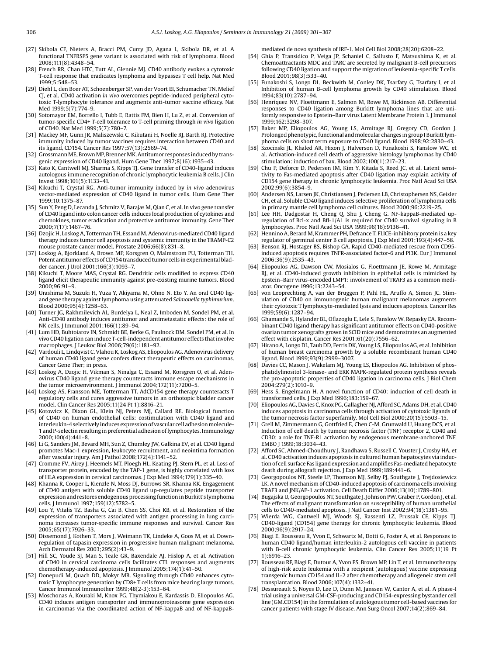- <span id="page-5-0"></span>[27] Skibola CF, Nieters A, Bracci PM, Curry JD, Agana L, Skibola DR, et al. A functional TNFRSF5 gene variant is associated with risk of lymphoma. Blood 2008;111(8):4348–54.
- [28] French RR, Chan HTC, Tutt AL, Glennie MJ. CD40 antibody evokes a cytotoxic T-cell response that eradicates lymphoma and bypasses T cell help. Nat Med  $1999.5.38 - 53$
- [29] Diehl L, den Boer AT, Schoenberger SP, van der Voort EI, Schumacher TN, Melief CJ, et al. CD40 activation *in vivo* overcomes peptide-induced peripheral cytotoxic T-lymphocyte tolerance and augments anti-tumor vaccine efficacy. Nat Med 1999;5(7):774–9.
- [30] Sotomayor EM, Borrello I, Tubb E, Rattis FM, Bien H, Lu Z, et al. Conversion of tumor-specific CD4+ T-cell tolerance to T-cell priming through *in vivo* ligation of CD40. Nat Med 1999;5(7):780–7.
- [31] Mackey MF, Gunn JR, Maliszewski C, Kikutani H, Noelle RJ, Barth RJ. Protective immunity induced by tumor vaccines requires interaction between CD40 and its ligand, CD154. Cancer Res 1997;57(13):2569–74.
- [32] Grossmann ME, Brown MP, Brenner MK. Antitumor responses induced by transgenic expression of CD40 ligand. Hum Gene Ther 1997;8(16):1935–43.
- [33] Kato K, Cantwell MJ, Sharma S, Kipps TJ. Gene transfer of CD40-ligand induces autologous immune recognition of chronic lymphocytic leukemia B cells. J Clin Invest 1998;101(5):1133–41.
- [34] Kikuchi T, Crystal RG. Anti-tumor immunity induced by *in vivo* adenovirus vector-mediated expression of CD40 ligand in tumor cells. Hum Gene Ther 1999;10:1375–87.
- [35] Sun Y, Peng D, Lecanda J, Schmitz V, Barajas M, Qian C, et al. In vivo gene transfer of CD40 ligand into colon cancer cells induces local production of cytokines and chemokines, tumor eradication and protective antitumor immunity. Gene Ther 2000;7(17):1467–76.
- [36] Dzojic H, Loskog A, Totterman TH, Essand M. Adenovirus-mediated CD40 ligand therapy induces tumor cell apoptosis and systemic immunity in the TRAMP-C2 mouse prostate cancer model. Prostate 2006;66(8):831–8.
- [37] Loskog A, Bjorkland A, Brown MP, Korsgren O, Malmstrom PU, Totterman TH. Potent antitumor effects of CD154 transduced tumor cells in experimental bladder cancer. J Urol 2001;166(3):1093–7.
- [38] Kikuchi T, Moore MAS, Crystal RG. Dendritic cells modified to express CD40 ligand elicit therapeutic immunity against pre-existing murine tumors. Blood 2000;96:91–9.
- [39] Urashima M, Suzuki H, Yuza Y, Akiyama M, Ohno N, Eto Y. An oral CD40 ligand gene therapy against lymphoma using attenuated *Salmonella typhimurium*. Blood 2000;95(4):1258–63.
- [40] Turner JG, Rakhmilevich AL, Burdelya L, Neal Z, Imboden M, Sondel PM, et al. Anti-CD40 antibody induces antitumor and antimetastatic effects: the role of NK cells. J Immunol 2001;166(1):89–94.
- [41] Lum HD, Buhtoiarov IN, Schmidt BE, Berke G, Paulnock DM, Sondel PM, et al. In vivo CD40 ligation can induce T-cell-independent antitumor effects that involve macrophages. J Leukoc Biol 2006;79(6):1181–92.
- [42] Vardouli L, Lindqvist C, Vlahou K, Loskog AS, Eliopoulos AG. Adenovirus delivery of human CD40 ligand gene confers direct therapeutic effects on carcinomas. Cancer Gene Ther; in press.
- [43] Loskog A, Dzojic H, Vikman S, Ninalga C, Essand M, Korsgren O, et al. Adenovirus CD40 ligand gene therapy counteracts immune escape mechanisms in the tumor microenvironment. J Immunol 2004;172(11):7200–5.
- [44] Loskog AS, Fransson ME, Totterman TT. AdCD154 gene therapy counteracts T regulatory cells and cures aggressive tumors in an orthotopic bladder cancer model. Clin Cancer Res 2005;11(24 Pt 1):8816–21.
- [45] Kotowicz K, Dixon GL, Klein NJ, Peters MJ, Callard RE. Biological function of CD40 on human endothelial cells: costimulation with CD40 ligand and interleukin-4 selectively induces expression of vascular cell adhesion molecule-1 and P-selectin resulting in preferential adhesion of lymphocytes. Immunology 2000;100(4):441–8.
- [46] Li G, Sanders JM, Bevard MH, Sun Z, Chumley JW, Galkina EV, et al. CD40 ligand promotes Mac-1 expression, leukocyte recruitment, and neointima formation after vascular injury. Am J Pathol 2008;172(4):1141–52.
- [47] Cromme FV, Airey J, Heemels MT, Ploegh HL, Keating PJ, Stern PL, et al. Loss of transporter protein, encoded by the TAP-1 gene, is highly correlated with loss of HLA expression in cervical carcinomas. J Exp Med 1994;179(1):335–40.
- [48] Khanna R, Cooper L, Kienzle N, Moss DJ, Burrows SR, Khanna KK. Engagement of CD40 antigen with soluble CD40 ligand up-regulates peptide transporter expression and restores endogenous processing function in Burkitt's lymphoma cells. J Immunol 1997;159(12):5782–5.
- [49] Lou Y, Vitalis TZ, Basha G, Cai B, Chen SS, Choi KB, et al. Restoration of the expression of transporters associated with antigen processing in lung carcinoma increases tumor-specific immune responses and survival. Cancer Res 2005;65(17):7926–33.
- [50] Dissemond J, Kothen T, Mors J, Weimann TK, Lindeke A, Goos M, et al. Downregulation of tapasin expression in progressive human malignant melanoma. Arch Dermatol Res 2003;295(2):43–9.
- [51] Hill SC, Youde SJ, Man S, Teale GR, Baxendale AJ, Hislop A, et al. Activation of CD40 in cervical carcinoma cells facilitates CTL responses and augments chemotherapy-induced apoptosis. J Immunol 2005;174(1):41–50.
- [52] Donepudi M, Quach DD, Mokyr MB. Signaling through CD40 enhances cytotoxic T lymphocyte generation by CD8+ T cells from mice bearing large tumors. Cancer Immunol Immunother 1999;48(2-3):153–64.
- [53] Moschonas A, Kouraki M, Knox PG, Thymiakou E, Kardassis D, Eliopoulos AG. CD40 induces antigen transporter and immunoproteasome gene expression in carcinomas via the coordinated action of NF-kappaB and of NF-kappaB-

mediated de novo synthesis of IRF-1. Mol Cell Biol 2008;28(20):6208–22.

- [54] Ghia P, Transidico P, Veiga JP, Schaniel C, Sallusto F, Matsushima K, et al. Chemoattractants MDC and TARC are secreted by malignant B-cell precursors following CD40 ligation and support the migration of leukemia-specific T cells. Blood 2001;98(3):533–40.
- [55] Funakoshi S, Longo DL, Beckwith M, Conley DK, Tsarfaty G, Tsarfaty I, et al. Inhibition of human B-cell lymphoma growth by CD40 stimulation. Blood 1994;83(10):2787–94.
- [56] Henriquez NV, Floettmann E, Salmon M, Rowe M, Rickinson AB. Differential responses to CD40 ligation among Burkitt lymphoma lines that are uniformly responsive to Epstein–Barr virus Latent Membrane Protein 1. J Immunol 1999;162:3298–307.
- [57] Baker MP, Eliopoulos AG, Young LS, Armitage RJ, Gregory CD, Gordon J. Prolonged phenotypic, functional and molecular changes in group I Burkitt lymphoma cells on short term exposure to CD40 ligand. Blood 1998;92:2830–43.
- [58] Szocinski JL, Khaled AR, Hixon J, Halverson D, Funakoshi S, Fanslow WC, et al. Activation-induced cell death of aggressive histology lymphomas by CD40 stimulation: induction of bax. Blood  $2002;100(1):217-23$ .
- [59] Chu P, Deforce D, Pedersen IM, Kim Y, Kitada S, Reed JC, et al. Latent sensitivity to Fas-mediated apoptosis after CD40 ligation may explain activity of CD154 gene therapy in chronic lymphocytic leukemia. Proc Natl Acad Sci USA 2002;99(6):3854–9.
- [60] Andersen NS, Larsen JK, Christiansen J, Pedersen LB, Christophersen NS, Geisler CH, et al. Soluble CD40 ligand induces selective proliferation of lymphoma cells in primary mantle cell lymphoma cell cultures. Blood 2000;96:2219–25.
- [61] Lee HH, Dadgostar H, Cheng Q, Shu J, Cheng G. NF-kappaB-mediated upregulation of Bcl-x and Bfl-1/A1 is required for CD40 survival signaling in B lymphocytes. Proc Natl Acad Sci USA 1999;96(16):9136–41.
- [62] Hennino A, Berard M, Krammer PH, Defrance T. FLICE-inhibitory protein is a key regulator of germinal center B cell apoptosis. J Exp Med 2001;193(4):447–58.
- [63] Benson RJ, Hostager BS, Bishop GA. Rapid CD40-mediated rescue from CD95induced apoptosis requires TNFR-associated factor-6 and PI3K. Eur J Immunol 2006;36(9):2535–43.
- [64] Eliopoulos AG, Dawson CW, Mosialos G, Floettmann JE, Rowe M, Armitage RJ, et al. CD40-induced growth inhibition in epithelial cells is mimicked by Epstein–Barr virus-encoded LMP1: involvement of TRAF3 as a common mediator. Oncogene 1996;13:2243–54.
- [65] von Leoprechting A, van der Bruggen P, Pahl HL, Aruffo A, Simon JC. Stimulation of CD40 on immunogenic human malignant melanomas augments their cytotoxic T lymphocyte-mediated lysis and induces apoptosis. Cancer Res 1999;59(6):1287–94.
- [66] Ghamande S, Hylander BL, Oflazoglu E, Lele S, Fanslow W, Repasky EA. Recombinant CD40 ligand therapy has significant antitumor effects on CD40-positive ovarian tumor xenografts grown in SCID mice and demonstrates an augmented effect with cisplatin. Cancer Res 2001;61(20):7556–62.
- [67] Hirano A, Longo DL, Taub DD, Ferris DK, Young LS, Eliopoulos AG, et al. Inhibition of human breast carcinoma growth by a soluble recombinant human CD40 ligand. Blood 1999;93(9):2999–3007.
- [68] Davies CC, Mason J, Wakelam MJ, Young LS, Eliopoulos AG. Inhibition of phosphatidylinositol 3-kinase- and ERK MAPK-regulated protein synthesis reveals the pro-apoptotic properties of CD40 ligation in carcinoma cells. J Biol Chem 2004;279(2):1010–9.
- [69] Hess S, Engelmann H. A novel function of CD40: induction of cell death in transformed cells. J Exp Med 1996;183:159–67.
- [70] Eliopoulos AG, Davies C, Knox PG, Gallagher NJ, Afford SC, Adams DH, et al. CD40 induces apoptosis in carcinoma cells through activation of cytotoxic ligands of the tumor necrosis factor superfamily. Mol Cell Biol 2000;20(15):5503–15.
- [71] Grell M, Zimmermann G, Gottfried E, Chen C-M, Grunwald U, Huang DCS, et al. Induction of cell death by tumour necrosis factor (TNF) receptor 2, CD40 and CD30: a role for TNF-R1 activation by endogenous membrane-anchored TNF. EMBO J 1999;18:3034–43.
- [72] Afford SC, Ahmed-Choudhury J, Randhawa S, Russell C, Youster J, Crosby HA, et al. CD40 activation induces apoptosis in cultured human hepatocytes via induction of cell surface Fas ligand expression and amplifies Fas-mediated hepatocyte death during allograft rejection. J Exp Med 1999;189:441–6.
- [73] Georgopoulos NT, Steele LP, Thomson MJ, Selby PJ, Southgate J, Trejdosiewicz LK. A novel mechanism of CD40-induced apoptosis of carcinoma cells involving TRAF3 and JNK/AP-1 activation. Cell Death Differ 2006;13(10):1789–801.
- [74] Bugajska U, Georgopoulos NT, Southgate J, Johnson PW, Graber P, Gordon J, et al. The effects of malignant transformation on susceptibility of human urothelial cells to CD40-mediated apoptosis. J Natl Cancer Inst 2002;94(18):1381–95.
- [75] Wierda WG, Cantwell MJ, Woods SJ, Rassenti LZ, Prussak CE, Kipps TJ. CD40-ligand (CD154) gene therapy for chronic lymphocytic leukemia. Blood 2000;96(9):2917–24.
- [76] Biagi E, Rousseau R, Yvon E, Schwartz M, Dotti G, Foster A, et al. Responses to human CD40 ligand/human interleukin-2 autologous cell vaccine in patients with B-cell chronic lymphocytic leukemia. Clin Cancer Res 2005;11(19 Pt 1):6916–23.
- [77] Rousseau RF, Biagi E, Dutour A, Yvon ES, Brown MP, Lin T, et al. Immunotherapy of high-risk acute leukemia with a recipient (autologous) vaccine expressing transgenic human CD154 and IL-2 after chemotherapy and allogeneic stem cell transplantation. Blood 2006;107(4):1332–41.
- [78] Dessureault S, Noyes D, Lee D, Dunn M, Janssen W, Cantor A, et al. A phase-I trial using a universal GM-CSF-producing and CD154-expressing bystander cell line (GM.CD154) in the formulation of autologous tumor cell-based vaccines for cancer patients with stage IV disease. Ann Surg Oncol 2007;14(2):869–84.